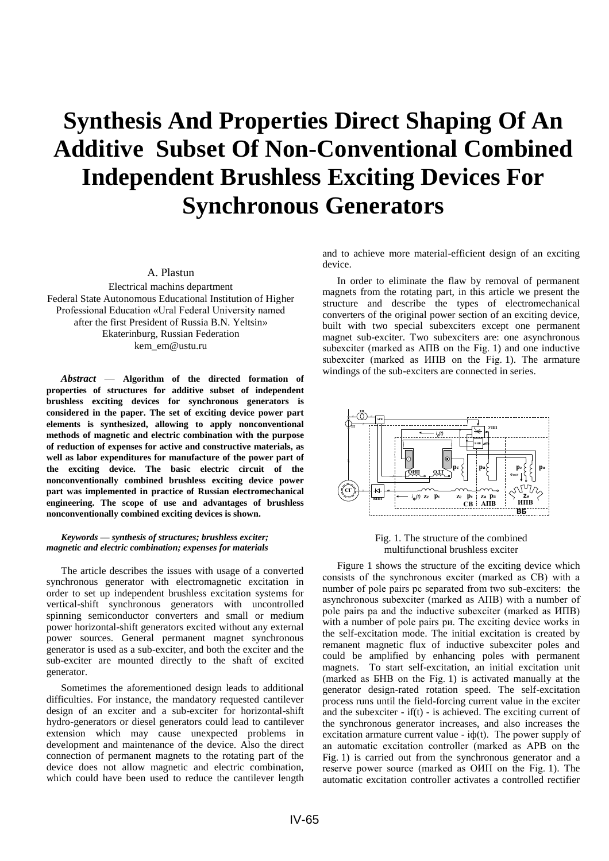## **Synthesis And Properties Direct Shaping Of An Additive Subset Of Non-Conventional Combined Independent Brushless Exciting Devices For Synchronous Generators**

A. Plastun

Electrical machins department Federal State Autonomous Educational Institution of Higher Professional Education «Ural Federal University named after the first President of Russia B.N. Yeltsin» Ekaterinburg, Russian Federation kem\_em@ustu.ru

*Abstract* — **Algorithm of the directed formation of properties of structures for additive subset of independent brushless exciting devices for synchronous generators is considered in the paper. The set of exciting device power part elements is synthesized, allowing to apply nonconventional methods of magnetic and electric combination with the purpose of reduction of expenses for active and constructive materials, as well as labor expenditures for manufacture of the power part of the exciting device. The basic electric circuit of the nonconventionally combined brushless exciting device power part was implemented in practice of Russian electromechanical engineering. The scope of use and advantages of brushless nonconventionally combined exciting devices is shown.**

## *Keywords — synthesis of structures; brushless exciter; magnetic and electric combination; expenses for materials*

The article describes the issues with usage of a converted synchronous generator with electromagnetic excitation in order to set up independent brushless excitation systems for vertical-shift synchronous generators with uncontrolled spinning semiconductor converters and small or medium power horizontal-shift generators excited without any external power sources. General permanent magnet synchronous generator is used as a sub-exciter, and both the exciter and the sub-exciter are mounted directly to the shaft of excited generator.

Sometimes the aforementioned design leads to additional difficulties. For instance, the mandatory requested cantilever design of an exciter and a sub-exciter for horizontal-shift hydro-generators or diesel generators could lead to cantilever extension which may cause unexpected problems in development and maintenance of the device. Also the direct connection of permanent magnets to the rotating part of the device does not allow magnetic and electric combination, which could have been used to reduce the cantilever length

and to achieve more material-efficient design of an exciting device.

In order to eliminate the flaw by removal of permanent magnets from the rotating part, in this article we present the structure and describe the types of electromechanical converters of the original power section of an exciting device, built with two special subexciters except one permanent magnet sub-exciter. Two subexciters are: one asynchronous subexciter (marked as АПВ on the Fig. 1) and one inductive subexciter (marked as  $M\Pi$ B on the Fig. 1). The armature windings of the sub-exciters are connected in series.



Fig. 1. The structure of the combined multifunctional brushless exciter

Figure 1 shows the structure of the exciting device which consists of the synchronous exciter (marked as СВ) with a number of pole pairs рс separated from two sub-exciters: the asynchronous subexciter (marked as АПВ) with a number of pole pairs рa and the inductive subexciter (marked as ИПВ) with a number of pole pairs ри. The exciting device works in the self-excitation mode. The initial excitation is created by remanent magnetic flux of inductive subexciter poles and could be amplified by enhancing poles with permanent magnets. To start self-excitation, an initial excitation unit (marked as БНВ on the Fig. 1) is activated manually at the generator design-rated rotation speed. The self-excitation process runs until the field-forcing current value in the exciter and the subexciter -  $if(t)$  - is achieved. The exciting current of the synchronous generator increases, and also increases the excitation armature current value -  $i\phi(t)$ . The power supply of an automatic excitation controller (marked as АРВ on the Fig. 1) is carried out from the synchronous generator and a reserve power source (marked as ОИП on the Fig. 1). The automatic excitation controller activates a controlled rectifier